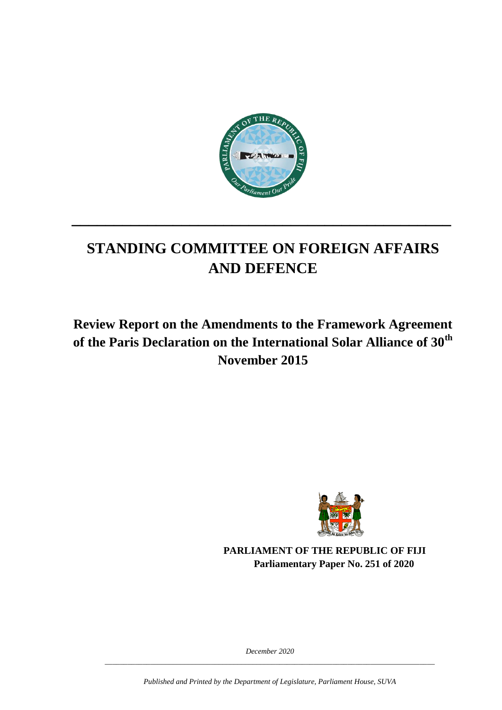

# **STANDING COMMITTEE ON FOREIGN AFFAIRS AND DEFENCE**

**\_\_\_\_\_\_\_\_\_\_\_\_\_\_\_\_\_\_\_\_\_\_\_\_\_\_\_\_\_\_\_\_\_\_\_\_\_\_\_\_\_\_\_\_\_**

# **Review Report on the Amendments to the Framework Agreement of the Paris Declaration on the International Solar Alliance of 30th November 2015**



**PARLIAMENT OF THE REPUBLIC OF FIJI Parliamentary Paper No. 251 of 2020**

*December 2020 \_\_\_\_\_\_\_\_\_\_\_\_\_\_\_\_\_\_\_\_\_\_\_\_\_\_\_\_\_\_\_\_\_\_\_\_\_\_\_\_\_\_\_\_\_\_\_\_\_\_\_\_\_\_\_\_\_\_\_\_\_\_\_\_\_\_\_\_\_\_\_\_\_\_\_\_\_\_\_\_\_\_\_\_\_\_\_*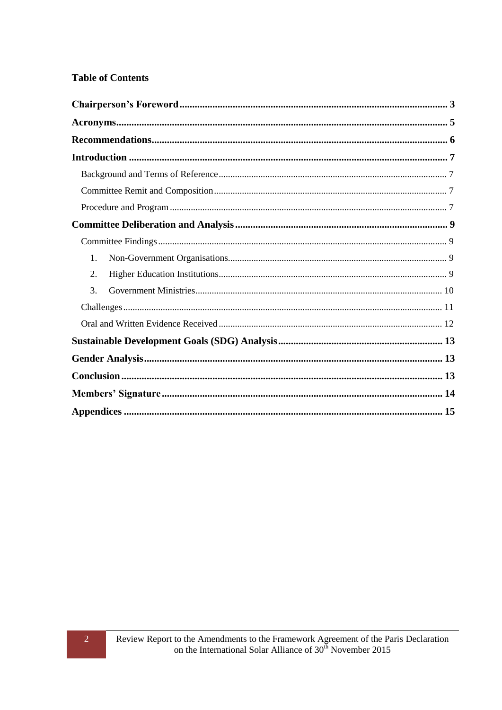#### **Table of Contents**

| 1. |  |  |
|----|--|--|
| 2. |  |  |
| 3. |  |  |
|    |  |  |
|    |  |  |
|    |  |  |
|    |  |  |
|    |  |  |
|    |  |  |
|    |  |  |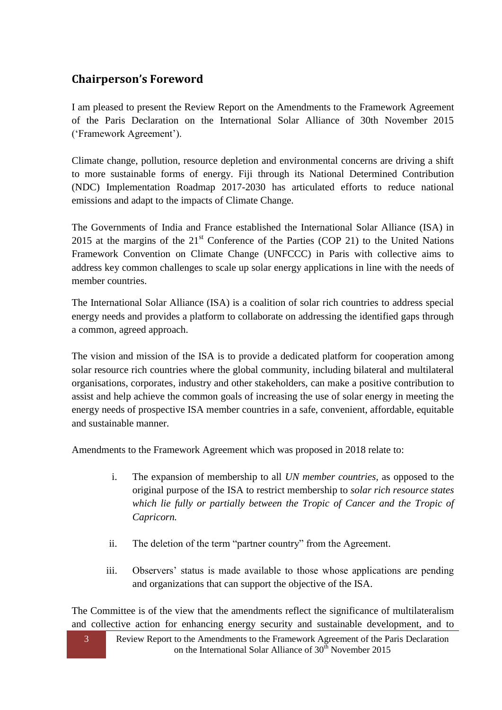# <span id="page-2-0"></span>**Chairperson's Foreword**

I am pleased to present the Review Report on the Amendments to the Framework Agreement of the Paris Declaration on the International Solar Alliance of 30th November 2015 (‗Framework Agreement').

Climate change, pollution, resource depletion and environmental concerns are driving a shift to more sustainable forms of energy. Fiji through its National Determined Contribution (NDC) Implementation Roadmap 2017-2030 has articulated efforts to reduce national emissions and adapt to the impacts of Climate Change.

The Governments of India and France established the International Solar Alliance (ISA) in 2015 at the margins of the  $21<sup>st</sup>$  Conference of the Parties (COP 21) to the United Nations Framework Convention on Climate Change (UNFCCC) in Paris with collective aims to address key common challenges to scale up solar energy applications in line with the needs of member countries.

The International Solar Alliance (ISA) is a coalition of solar rich countries to address special energy needs and provides a platform to collaborate on addressing the identified gaps through a common, agreed approach.

The vision and mission of the ISA is to provide a dedicated platform for cooperation among solar resource rich countries where the global community, including bilateral and multilateral organisations, corporates, industry and other stakeholders, can make a positive contribution to assist and help achieve the common goals of increasing the use of solar energy in meeting the energy needs of prospective ISA member countries in a safe, convenient, affordable, equitable and sustainable manner.

Amendments to the Framework Agreement which was proposed in 2018 relate to:

- i. The expansion of membership to all *UN member countries,* as opposed to the original purpose of the ISA to restrict membership to *solar rich resource states which lie fully or partially between the Tropic of Cancer and the Tropic of Capricorn.*
- ii. The deletion of the term "partner country" from the Agreement.
- iii. Observers' status is made available to those whose applications are pending and organizations that can support the objective of the ISA.

The Committee is of the view that the amendments reflect the significance of multilateralism and collective action for enhancing energy security and sustainable development, and to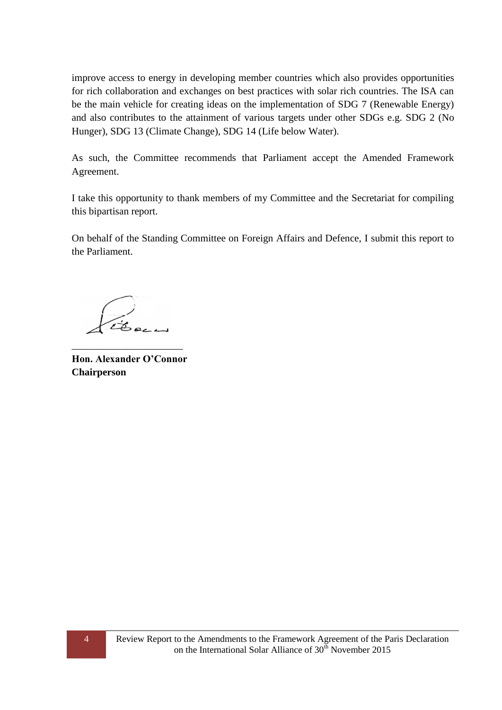improve access to energy in developing member countries which also provides opportunities for rich collaboration and exchanges on best practices with solar rich countries. The ISA can be the main vehicle for creating ideas on the implementation of SDG 7 (Renewable Energy) and also contributes to the attainment of various targets under other SDGs e.g. SDG 2 (No Hunger), SDG 13 (Climate Change), SDG 14 (Life below Water).

As such, the Committee recommends that Parliament accept the Amended Framework Agreement.

I take this opportunity to thank members of my Committee and the Secretariat for compiling this bipartisan report.

On behalf of the Standing Committee on Foreign Affairs and Defence, I submit this report to the Parliament.

**Hon. Alexander O'Connor Chairperson**

\_\_\_\_\_\_\_\_\_\_\_\_\_\_\_\_\_\_\_\_\_\_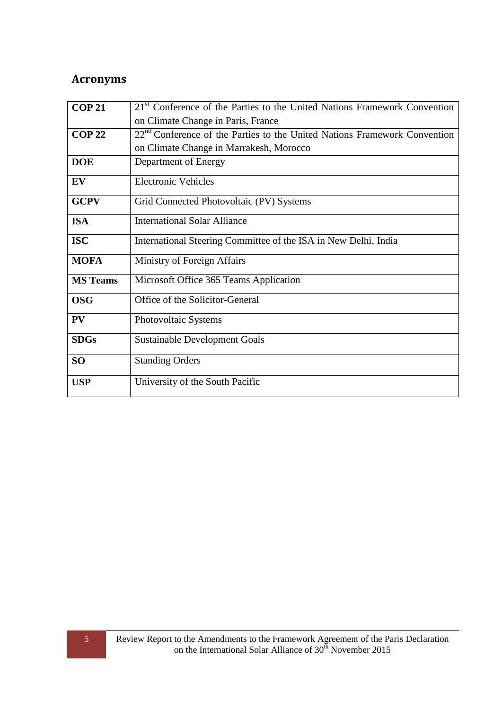# <span id="page-4-0"></span>**Acronyms**

<span id="page-4-1"></span>

| <b>COP 21</b>   | $21st$ Conference of the Parties to the United Nations Framework Convention           |  |  |  |  |  |
|-----------------|---------------------------------------------------------------------------------------|--|--|--|--|--|
|                 | on Climate Change in Paris, France                                                    |  |  |  |  |  |
| <b>COP 22</b>   | 22 <sup>nd</sup> Conference of the Parties to the United Nations Framework Convention |  |  |  |  |  |
|                 |                                                                                       |  |  |  |  |  |
|                 | on Climate Change in Marrakesh, Morocco                                               |  |  |  |  |  |
| <b>DOE</b>      | Department of Energy                                                                  |  |  |  |  |  |
| EV              | <b>Electronic Vehicles</b>                                                            |  |  |  |  |  |
| <b>GCPV</b>     | Grid Connected Photovoltaic (PV) Systems                                              |  |  |  |  |  |
| <b>ISA</b>      | <b>International Solar Alliance</b>                                                   |  |  |  |  |  |
| <b>ISC</b>      | International Steering Committee of the ISA in New Delhi, India                       |  |  |  |  |  |
| <b>MOFA</b>     | Ministry of Foreign Affairs                                                           |  |  |  |  |  |
| <b>MS Teams</b> | Microsoft Office 365 Teams Application                                                |  |  |  |  |  |
| <b>OSG</b>      | Office of the Solicitor-General                                                       |  |  |  |  |  |
| PV              | Photovoltaic Systems                                                                  |  |  |  |  |  |
| <b>SDGs</b>     | <b>Sustainable Development Goals</b>                                                  |  |  |  |  |  |
| <b>SO</b>       | <b>Standing Orders</b>                                                                |  |  |  |  |  |
| <b>USP</b>      | University of the South Pacific                                                       |  |  |  |  |  |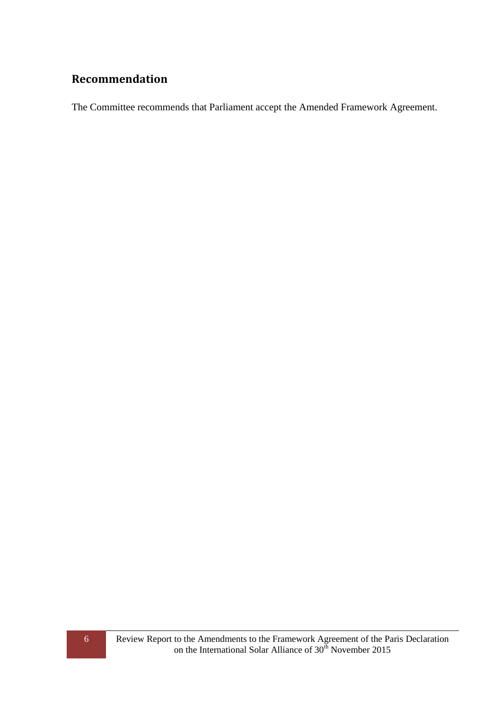## **Recommendation**

<span id="page-5-0"></span>The Committee recommends that Parliament accept the Amended Framework Agreement.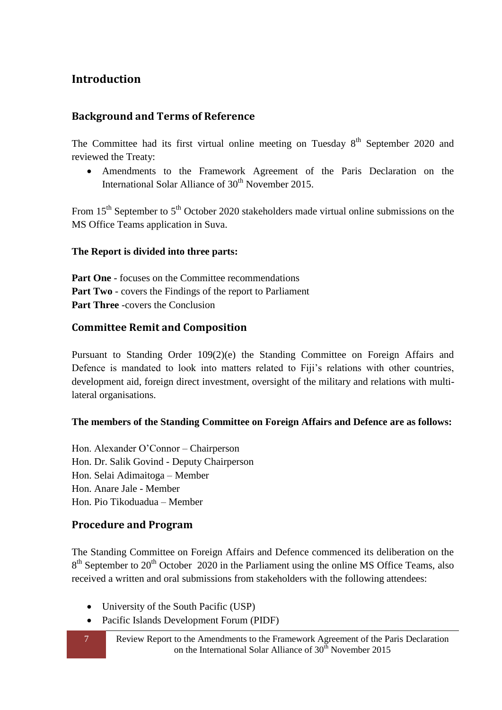## **Introduction**

#### <span id="page-6-0"></span>**Background and Terms of Reference**

The Committee had its first virtual online meeting on Tuesday  $8<sup>th</sup>$  September 2020 and reviewed the Treaty:

 Amendments to the Framework Agreement of the Paris Declaration on the International Solar Alliance of  $30<sup>th</sup>$  November 2015.

From 15<sup>th</sup> September to 5<sup>th</sup> October 2020 stakeholders made virtual online submissions on the MS Office Teams application in Suva.

#### **The Report is divided into three parts:**

Part One - focuses on the Committee recommendations **Part Two** - covers the Findings of the report to Parliament **Part Three** -covers the Conclusion

#### <span id="page-6-1"></span>**Committee Remit and Composition**

Pursuant to Standing Order 109(2)(e) the Standing Committee on Foreign Affairs and Defence is mandated to look into matters related to Fiji's relations with other countries, development aid, foreign direct investment, oversight of the military and relations with multilateral organisations.

#### **The members of the Standing Committee on Foreign Affairs and Defence are as follows:**

Hon. Alexander O'Connor – Chairperson Hon. Dr. Salik Govind - Deputy Chairperson Hon. Selai Adimaitoga – Member Hon. Anare Jale - Member Hon. Pio Tikoduadua – Member

#### <span id="page-6-2"></span>**Procedure and Program**

The Standing Committee on Foreign Affairs and Defence commenced its deliberation on the 8<sup>th</sup> September to 20<sup>th</sup> October 2020 in the Parliament using the online MS Office Teams, also received a written and oral submissions from stakeholders with the following attendees:

- University of the South Pacific (USP)
- Pacific Islands Development Forum (PIDF)
- 
- 7 Review Report to the Amendments to the Framework Agreement of the Paris Declaration on the International Solar Alliance of  $30<sup>th</sup>$  November 2015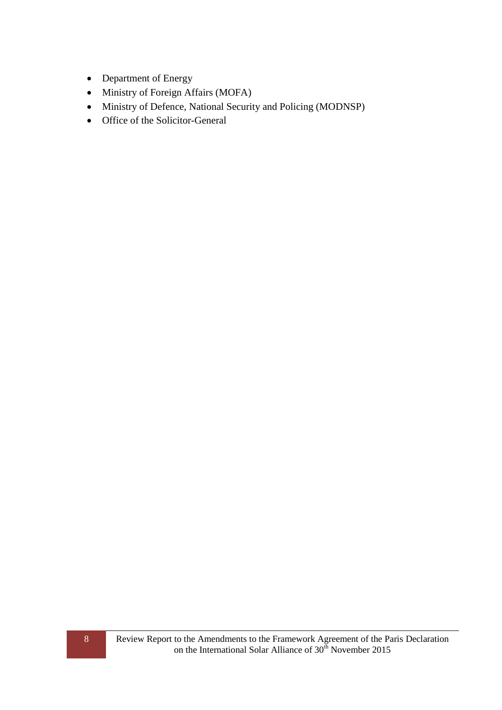- Department of Energy
- Ministry of Foreign Affairs (MOFA)
- Ministry of Defence, National Security and Policing (MODNSP)
- <span id="page-7-0"></span>• Office of the Solicitor-General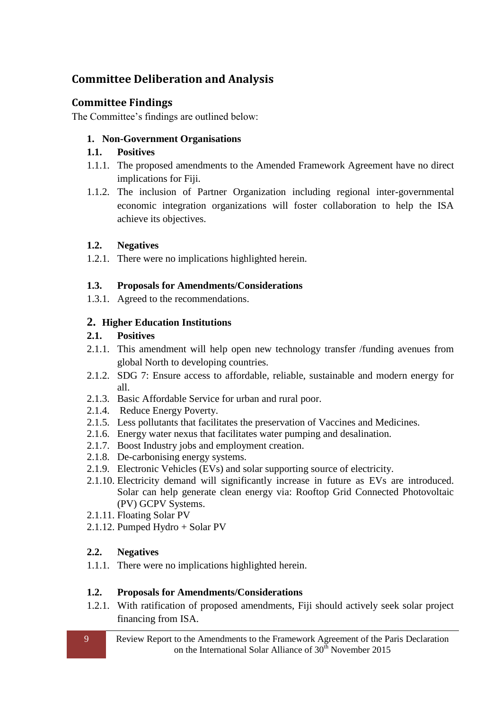## **Committee Deliberation and Analysis**

## <span id="page-8-0"></span>**Committee Findings**

<span id="page-8-1"></span>The Committee's findings are outlined below:

#### **1. Non-Government Organisations**

#### **1.1. Positives**

- 1.1.1. The proposed amendments to the Amended Framework Agreement have no direct implications for Fiji.
- 1.1.2. The inclusion of Partner Organization including regional inter-governmental economic integration organizations will foster collaboration to help the ISA achieve its objectives.

#### **1.2. Negatives**

1.2.1. There were no implications highlighted herein.

#### **1.3. Proposals for Amendments/Considerations**

1.3.1. Agreed to the recommendations.

## <span id="page-8-2"></span>**2. Higher Education Institutions**

## **2.1. Positives**

- 2.1.1. This amendment will help open new technology transfer /funding avenues from global North to developing countries.
- 2.1.2. SDG 7: Ensure access to affordable, reliable, sustainable and modern energy for all.
- 2.1.3. Basic Affordable Service for urban and rural poor.
- 2.1.4. Reduce Energy Poverty.
- 2.1.5. Less pollutants that facilitates the preservation of Vaccines and Medicines.
- 2.1.6. Energy water nexus that facilitates water pumping and desalination.
- 2.1.7. Boost Industry jobs and employment creation.
- 2.1.8. De-carbonising energy systems.
- 2.1.9. Electronic Vehicles (EVs) and solar supporting source of electricity.
- 2.1.10. Electricity demand will significantly increase in future as EVs are introduced. Solar can help generate clean energy via: Rooftop Grid Connected Photovoltaic (PV) GCPV Systems.
- 2.1.11. Floating Solar PV
- 2.1.12. Pumped Hydro + Solar PV

## **2.2. Negatives**

1.1.1. There were no implications highlighted herein.

## **1.2. Proposals for Amendments/Considerations**

1.2.1. With ratification of proposed amendments, Fiji should actively seek solar project financing from ISA.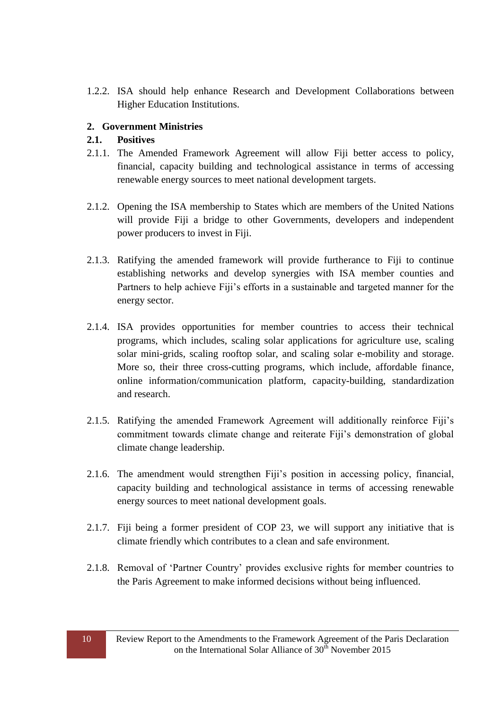1.2.2. ISA should help enhance Research and Development Collaborations between Higher Education Institutions.

#### <span id="page-9-0"></span>**2. Government Ministries**

#### **2.1. Positives**

- 2.1.1. The Amended Framework Agreement will allow Fiji better access to policy, financial, capacity building and technological assistance in terms of accessing renewable energy sources to meet national development targets.
- 2.1.2. Opening the ISA membership to States which are members of the United Nations will provide Fiji a bridge to other Governments, developers and independent power producers to invest in Fiji.
- 2.1.3. Ratifying the amended framework will provide furtherance to Fiji to continue establishing networks and develop synergies with ISA member counties and Partners to help achieve Fiji's efforts in a sustainable and targeted manner for the energy sector.
- 2.1.4. ISA provides opportunities for member countries to access their technical programs, which includes, scaling solar applications for agriculture use, scaling solar mini-grids, scaling rooftop solar, and scaling solar e-mobility and storage. More so, their three cross-cutting programs, which include, affordable finance, online information/communication platform, capacity-building, standardization and research.
- 2.1.5. Ratifying the amended Framework Agreement will additionally reinforce Fiji's commitment towards climate change and reiterate Fiji's demonstration of global climate change leadership.
- 2.1.6. The amendment would strengthen Fiji's position in accessing policy, financial, capacity building and technological assistance in terms of accessing renewable energy sources to meet national development goals.
- 2.1.7. Fiji being a former president of COP 23, we will support any initiative that is climate friendly which contributes to a clean and safe environment.
- 2.1.8. Removal of 'Partner Country' provides exclusive rights for member countries to the Paris Agreement to make informed decisions without being influenced.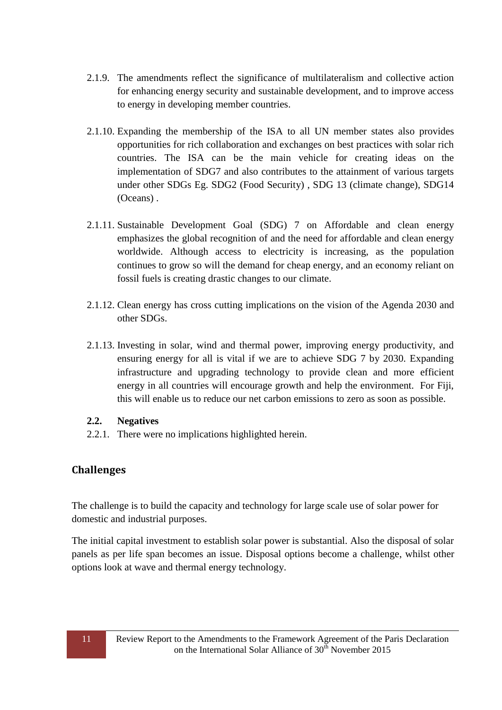- 2.1.9. The amendments reflect the significance of multilateralism and collective action for enhancing energy security and sustainable development, and to improve access to energy in developing member countries.
- 2.1.10. Expanding the membership of the ISA to all UN member states also provides opportunities for rich collaboration and exchanges on best practices with solar rich countries. The ISA can be the main vehicle for creating ideas on the implementation of SDG7 and also contributes to the attainment of various targets under other SDGs Eg. SDG2 (Food Security) , SDG 13 (climate change), SDG14 (Oceans) .
- 2.1.11. Sustainable Development Goal (SDG) 7 on Affordable and clean energy emphasizes the global recognition of and the need for affordable and clean energy worldwide. Although access to electricity is increasing, as the population continues to grow so will the demand for cheap energy, and an economy reliant on fossil fuels is creating drastic changes to our climate.
- 2.1.12. Clean energy has cross cutting implications on the vision of the Agenda 2030 and other SDGs.
- 2.1.13. Investing in solar, wind and thermal power, improving energy productivity, and ensuring energy for all is vital if we are to achieve SDG 7 by 2030. Expanding infrastructure and upgrading technology to provide clean and more efficient energy in all countries will encourage growth and help the environment. For Fiji, this will enable us to reduce our net carbon emissions to zero as soon as possible.

#### **2.2. Negatives**

2.2.1. There were no implications highlighted herein.

## <span id="page-10-0"></span>**Challenges**

The challenge is to build the capacity and technology for large scale use of solar power for domestic and industrial purposes.

The initial capital investment to establish solar power is substantial. Also the disposal of solar panels as per life span becomes an issue. Disposal options become a challenge, whilst other options look at wave and thermal energy technology.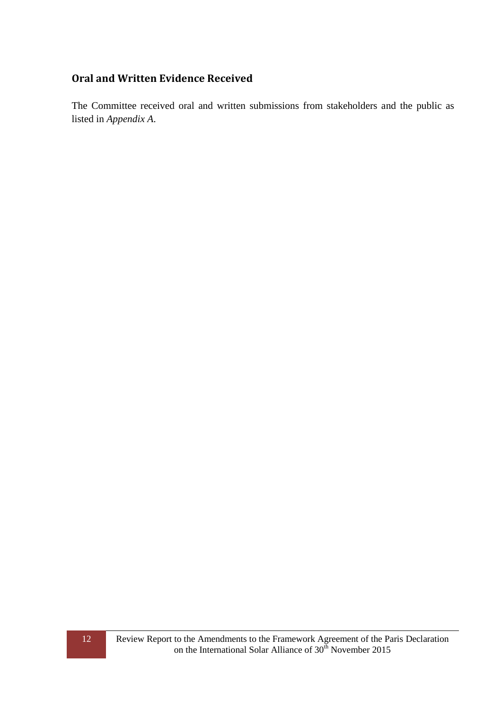#### <span id="page-11-0"></span>**Oral and Written Evidence Received**

The Committee received oral and written submissions from stakeholders and the public as listed in *Appendix A*.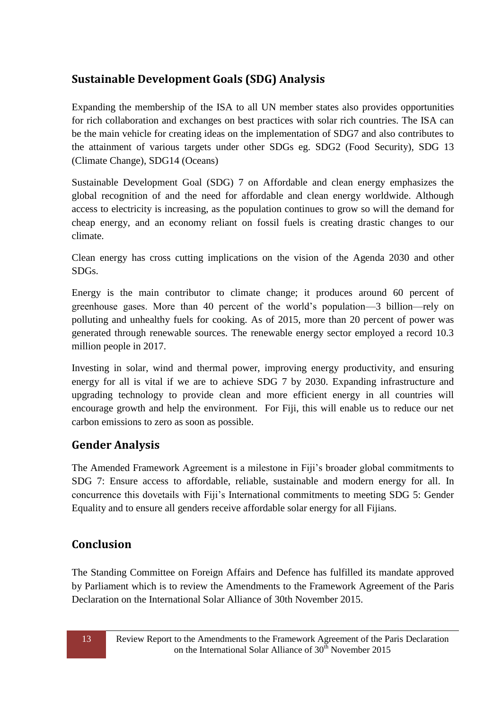# <span id="page-12-0"></span>**Sustainable Development Goals (SDG) Analysis**

Expanding the membership of the ISA to all UN member states also provides opportunities for rich collaboration and exchanges on best practices with solar rich countries. The ISA can be the main vehicle for creating ideas on the implementation of SDG7 and also contributes to the attainment of various targets under other SDGs eg. SDG2 (Food Security), SDG 13 (Climate Change), SDG14 (Oceans)

Sustainable Development Goal (SDG) 7 on Affordable and clean energy emphasizes the global recognition of and the need for affordable and clean energy worldwide. Although access to electricity is increasing, as the population continues to grow so will the demand for cheap energy, and an economy reliant on fossil fuels is creating drastic changes to our climate.

Clean energy has cross cutting implications on the vision of the Agenda 2030 and other SDGs.

Energy is the main contributor to climate change; it produces around 60 percent of greenhouse gases. More than 40 percent of the world's population—3 billion—rely on polluting and unhealthy fuels for cooking. As of 2015, more than 20 percent of power was generated through renewable sources. The renewable energy sector employed a record 10.3 million people in 2017.

Investing in solar, wind and thermal power, improving energy productivity, and ensuring energy for all is vital if we are to achieve SDG 7 by 2030. Expanding infrastructure and upgrading technology to provide clean and more efficient energy in all countries will encourage growth and help the environment. For Fiji, this will enable us to reduce our net carbon emissions to zero as soon as possible.

# <span id="page-12-1"></span>**Gender Analysis**

The Amended Framework Agreement is a milestone in Fiji's broader global commitments to SDG 7: Ensure access to affordable, reliable, sustainable and modern energy for all. In concurrence this dovetails with Fiji's International commitments to meeting SDG 5: Gender Equality and to ensure all genders receive affordable solar energy for all Fijians.

# <span id="page-12-2"></span>**Conclusion**

The Standing Committee on Foreign Affairs and Defence has fulfilled its mandate approved by Parliament which is to review the Amendments to the Framework Agreement of the Paris Declaration on the International Solar Alliance of 30th November 2015.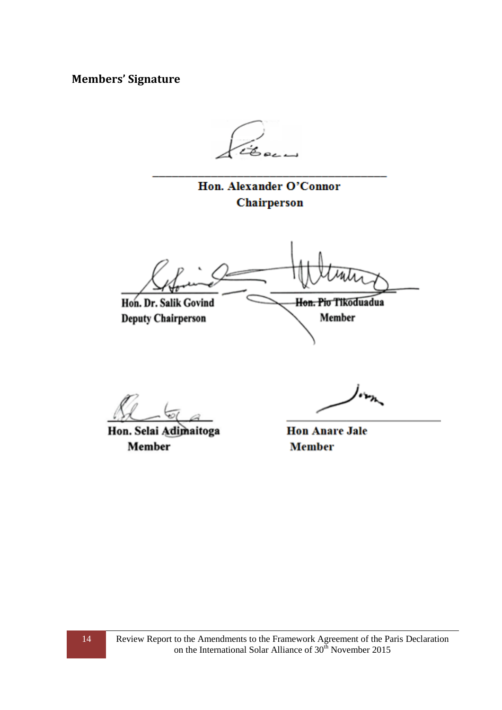<span id="page-13-0"></span>**Members' Signature**

Hon. Alexander O'Connor Chairperson

Hon. Pio Tikoduadua Hon. Dr. Salik Govind **Deputy Chairperson** Member

Hon. Selai Adimaitoga Member

**Hon Anare Jale Member**